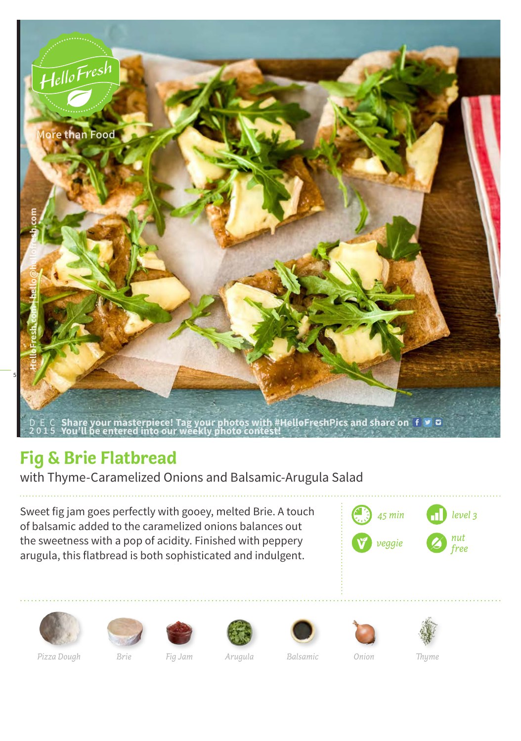

## **Fig & Brie Flatbread**

with Thyme-Caramelized Onions and Balsamic-Arugula Salad

Sweet fig jam goes perfectly with gooey, melted Brie. A touch of balsamic added to the caramelized onions balances out the sweetness with a pop of acidity. Finished with peppery arugula, this flatbread is both sophisticated and indulgent.

















*Pizza Dough Brie Fig Jam Arugula Balsamic Onion Thyme*